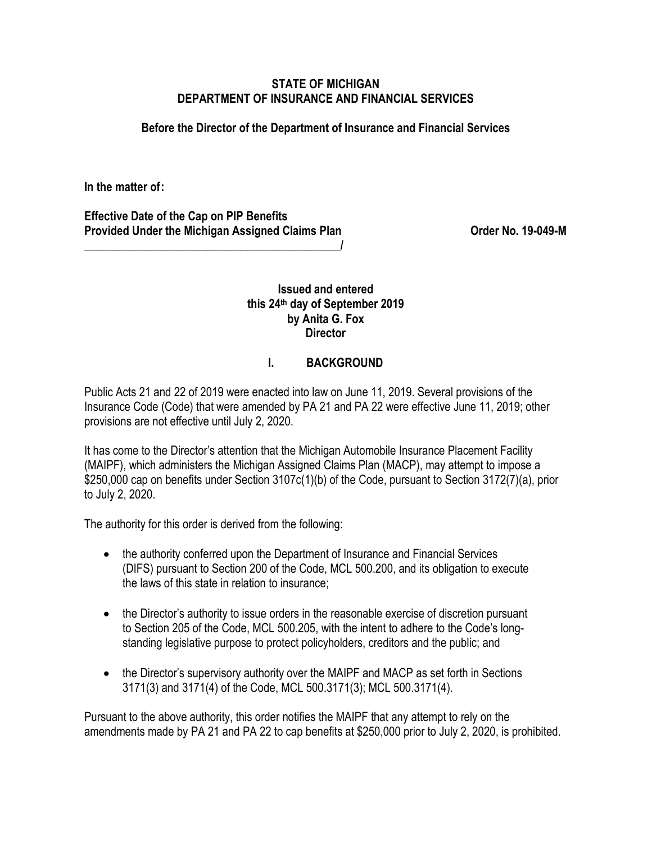#### **STATE OF MICHIGAN DEPARTMENT OF INSURANCE AND FINANCIAL SERVICES**

#### **Before the Director of the Department of Insurance and Financial Services**

**In the matter of :** 

**Effective Date of the Cap on PIP Benefits Provided Under the Michigan Assigned Claims Plan Community Community Corder No. 19-049-M** 

**\_\_\_\_\_\_\_\_\_\_\_\_\_\_\_\_\_\_\_\_\_\_\_\_\_\_\_\_\_\_\_\_\_\_\_\_\_\_\_\_\_\_\_\_/**

## **Issued and entered this 24th day of September 2019 by Anita G. Fox Director**

# **I. BACKGROUND**

Public Acts 21 and 22 of 2019 were enacted into law on June 11, 2019. Several provisions of the Insurance Code (Code) that were amended by PA 21 and PA 22 were effective June 11, 2019; other provisions are not effective until July 2, 2020.

It has come to the Director's attention that the Michigan Automobile Insurance Placement Facility (MAIPF), which administers the Michigan Assigned Claims Plan (MACP), may attempt to impose a \$250,000 cap on benefits under Section 3107c(1)(b) of the Code, pursuant to Section 3172(7)(a), prior to July 2, 2020.

The authority for this order is derived from the following:

- the authority conferred upon the Department of Insurance and Financial Services (DIFS) pursuant to Section 200 of the Code, MCL 500.200, and its obligation to execute the laws of this state in relation to insurance;
- the Director's authority to issue orders in the reasonable exercise of discretion pursuant to Section 205 of the Code, MCL 500.205, with the intent to adhere to the Code's longstanding legislative purpose to protect policyholders, creditors and the public; and
- the Director's supervisory authority over the MAIPF and MACP as set forth in Sections 3171(3) and 3171(4) of the Code, MCL 500.3171(3); MCL 500.3171(4).

Pursuant to the above authority, this order notifies the MAIPF that any attempt to rely on the amendments made by PA 21 and PA 22 to cap benefits at \$250,000 prior to July 2, 2020, is prohibited.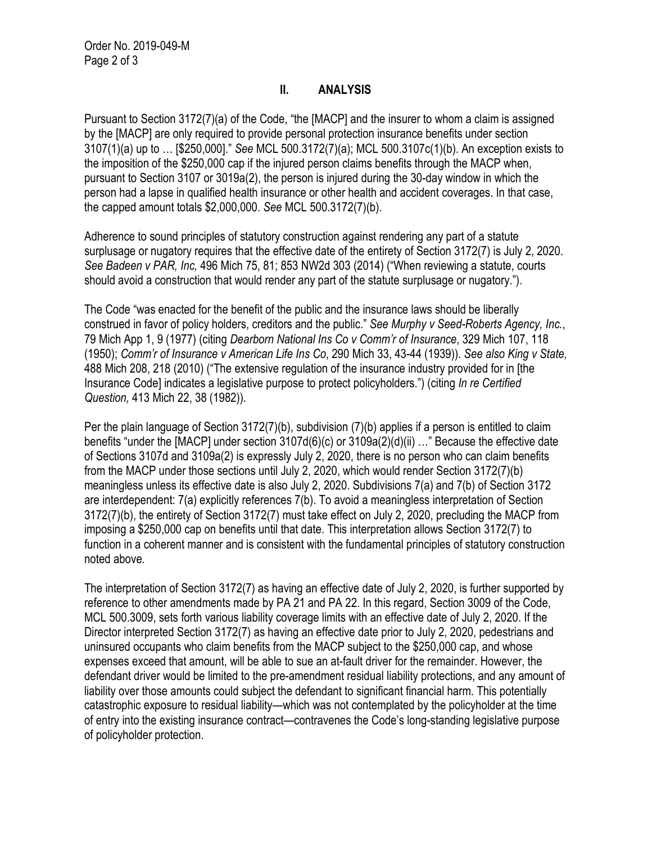### **II. ANALYSIS**

Pursuant to Section 3172(7)(a) of the Code, "the [MACP] and the insurer to whom a claim is assigned by the [MACP] are only required to provide personal protection insurance benefits under section 3107(1)(a) up to … [\$250,000]." *See* MCL 500.3172(7)(a); MCL 500.3107c(1)(b). An exception exists to the imposition of the \$250,000 cap if the injured person claims benefits through the MACP when, pursuant to Section 3107 or 3019a(2), the person is injured during the 30-day window in which the person had a lapse in qualified health insurance or other health and accident coverages. In that case, the capped amount totals \$2,000,000. *See* MCL 500.3172(7)(b).

Adherence to sound principles of statutory construction against rendering any part of a statute surplusage or nugatory requires that the effective date of the entirety of Section 3172(7) is July 2, 2020. *See Badeen v PAR, Inc,* 496 Mich 75, 81; 853 NW2d 303 (2014) ("When reviewing a statute, courts should avoid a construction that would render any part of the statute surplusage or nugatory.").

The Code "was enacted for the benefit of the public and the insurance laws should be liberally construed in favor of policy holders, creditors and the public." *See Murphy v Seed-Roberts Agency, Inc.*, 79 Mich App 1, 9 (1977) (citing *Dearborn National Ins Co v Comm'r of Insurance*, 329 Mich 107, 118 (1950); *Comm'r of Insurance v American Life Ins Co*, 290 Mich 33, 43-44 (1939)). *See also King v State,* 488 Mich 208, 218 (2010) ("The extensive regulation of the insurance industry provided for in [the Insurance Code] indicates a legislative purpose to protect policyholders.") (citing *In re Certified Question,* 413 Mich 22, 38 (1982)).

Per the plain language of Section 3172(7)(b), subdivision (7)(b) applies if a person is entitled to claim benefits "under the [MACP] under section 3107d(6)(c) or 3109a(2)(d)(ii) …" Because the effective date of Sections 3107d and 3109a(2) is expressly July 2, 2020, there is no person who can claim benefits from the MACP under those sections until July 2, 2020, which would render Section 3172(7)(b) meaningless unless its effective date is also July 2, 2020. Subdivisions 7(a) and 7(b) of Section 3172 are interdependent: 7(a) explicitly references 7(b). To avoid a meaningless interpretation of Section 3172(7)(b), the entirety of Section 3172(7) must take effect on July 2, 2020, precluding the MACP from imposing a \$250,000 cap on benefits until that date. This interpretation allows Section 3172(7) to function in a coherent manner and is consistent with the fundamental principles of statutory construction noted above.

The interpretation of Section 3172(7) as having an effective date of July 2, 2020, is further supported by reference to other amendments made by PA 21 and PA 22. In this regard, Section 3009 of the Code, MCL 500.3009, sets forth various liability coverage limits with an effective date of July 2, 2020. If the Director interpreted Section 3172(7) as having an effective date prior to July 2, 2020, pedestrians and uninsured occupants who claim benefits from the MACP subject to the \$250,000 cap, and whose expenses exceed that amount, will be able to sue an at-fault driver for the remainder. However, the defendant driver would be limited to the pre-amendment residual liability protections, and any amount of liability over those amounts could subject the defendant to significant financial harm. This potentially catastrophic exposure to residual liability—which was not contemplated by the policyholder at the time of entry into the existing insurance contract—contravenes the Code's long-standing legislative purpose of policyholder protection.